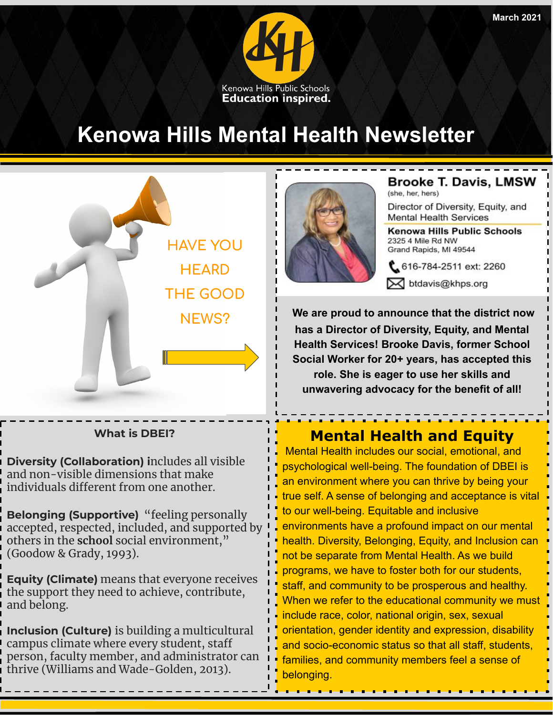

## **Kenowa Hills Mental Health Newsletter**



### **What is DBEI?**

**Diversity (Collaboration) i**ncludes all visible and non-visible dimensions that make individuals different from one another.

**Belonging (Supportive)** "feeling personally accepted, respected, included, and supported by others in the **school** social environment," (Goodow & Grady, 1993).

**Equity (Climate)** means that everyone receives the support they need to achieve, contribute, and belong.

**Inclusion (Culture)** is building a multicultural campus climate where every student, staff person, faculty member, and administrator can thrive (Williams and Wade-Golden, 2013).



**Brooke T. Davis, LMSW** (she, her, hers)

Director of Diversity, Equity, and **Mental Health Services** 

Kenowa Hills Public Schools 2325 4 Mile Rd NW Grand Rapids, MI 49544

616-784-2511 ext: 2260 M btdavis@khps.org

**We are proud to announce that the district now has a Director of Diversity, Equity, and Mental Health Services! Brooke Davis, former School Social Worker for 20+ years, has accepted this role. She is eager to use her skills and unwavering advocacy for the benefit of all!**

### **Mental Health and Equity**

 Mental Health includes our social, emotional, and psychological well-being. The foundation of DBEI is an environment where you can thrive by being your true self. A sense of belonging and acceptance is vital to our well-being. Equitable and inclusive environments have a profound impact on our mental health. Diversity, Belonging, Equity, and Inclusion can not be separate from Mental Health. As we build programs, we have to foster both for our students, staff, and community to be prosperous and healthy. When we refer to the educational community we must include race, color, national origin, sex, sexual orientation, gender identity and expression, disability and socio-economic status so that all staff, students, families, and community members feel a sense of belonging.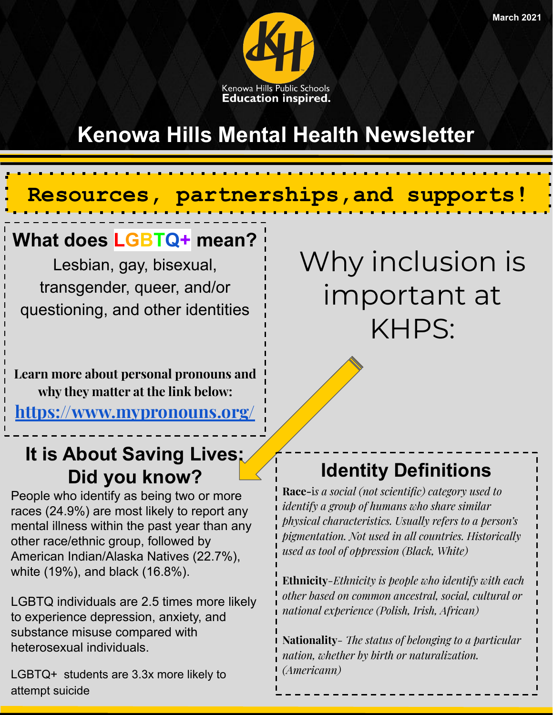

## **Kenowa Hills Mental Health Newsletter**

## **Resources, partnerships,and supports!**

## **What does LGBTQ+ mean?**

Lesbian, gay, bisexual, transgender, queer, and/or questioning, and other identities

**Learn more about personal pronouns and why they matter at the link below:**

**<https://www.mypronouns.org/>**

## **It is About Saving Lives: Did you know?**

People who identify as being two or more races (24.9%) are most likely to report any mental illness within the past year than any other race/ethnic group, followed by American Indian/Alaska Natives (22.7%), white (19%), and black (16.8%).

LGBTQ individuals are 2.5 times more likely to experience depression, anxiety, and substance misuse compared with heterosexual individuals.

LGBTQ+ students are 3.3x more likely to attempt suicide

Why inclusion is important at KHPS:

### **Identity Definitions**

**Race-**i*s a social (not scientific) category used to identify a group of humans who share similar physical characteristics. Usually refers to a person's pigmentation. Not used in all countries. Historically used as tool of oppression (Black, White)*

**Ethnicity***-Ethnicity is people who identify with each other based on common ancestral, social, cultural or national experience (Polish, Irish, African)*

**Nationality***- The status of belonging to a particular nation, whether by birth or naturalization. (Americann)*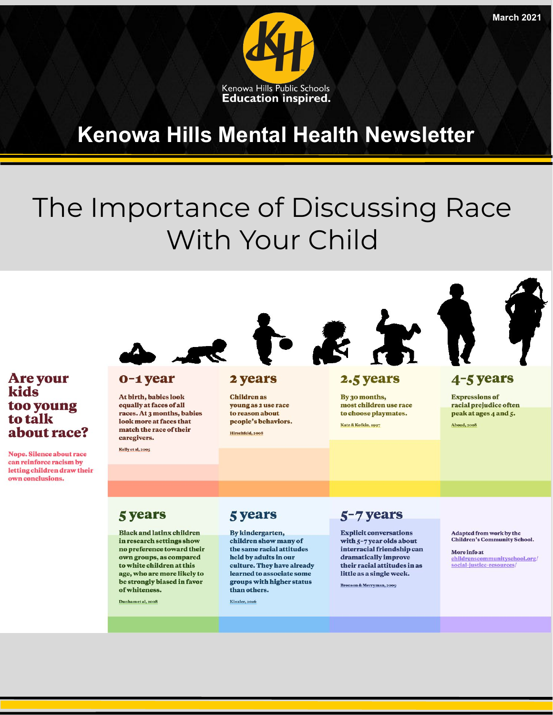

## **Kenowa Hills Mental Health Newsletter**

## The Importance of Discussing Race With Your Child



#### Are your 0-1 year At birth, babies look too young

kids

to talk

about race?

**Nope. Silence about race** can reinforce racism by letting children draw their own conclusions.

equally at faces of all races. At 3 months, babies look more at faces that match the race of their caregivers.

Kelly et al, 2005

### 2 years

**Children** as young as 2 use race to reason about people's behaviors. Hirschfeld, 2008

**2.5 years** 

By 30 months, most children use race to choose playmates.

Katz & Kofkin, 1997

4-5 years

**Expressions of** racial prejudice often peak at ages 4 and 5.

**Aboud, 2008** 

### **5 years**

**Black and lating children** in research settings show no preference toward their own groups, as compared to white children at this age, who are more likely to be strongly biased in favor of whiteness.

Dunham et al, 2008

### **5 years**

By kindergarten, children show many of the same racial attitudes held by adults in our culture. They have already learned to associate some groups with higher status than others.

Kinzler, 2016

### 5-7 years

**Explicit conversations** with 5-7 year olds about interracial friendship can dramatically improve their racial attitudes in as little as a single week.

Bronson & Merryman, 2009

Adapted from work by the **Children's Community School.** 

More info at childrenscommunityschool.org/<br>social-justice-resources/